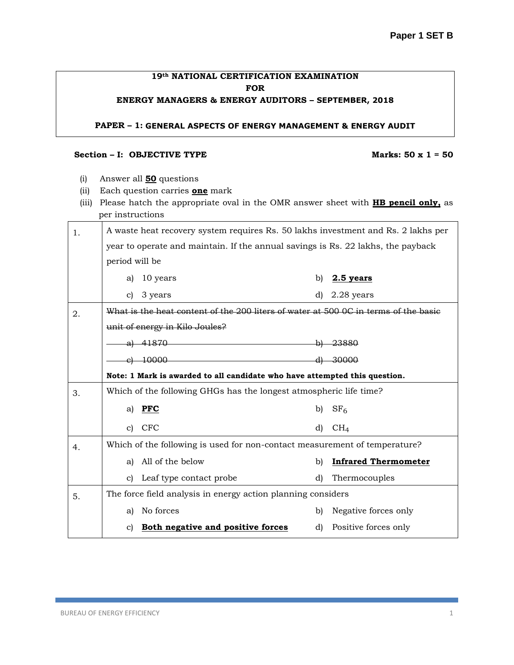# **19th NATIONAL CERTIFICATION EXAMINATION FOR**

## **ENERGY MANAGERS & ENERGY AUDITORS – SEPTEMBER, 2018**

### **PAPER – 1: GENERAL ASPECTS OF ENERGY MANAGEMENT & ENERGY AUDIT**

#### **Section – I: OBJECTIVE TYPE Marks: 50 x 1 = 50**

- (i) Answer all **50** questions
- (ii) Each question carries **one** mark
- (iii) Please hatch the appropriate oval in the OMR answer sheet with **HB pencil only,** as per instructions

| 1. | A waste heat recovery system requires Rs. 50 lakhs investment and Rs. 2 lakhs per |                                                                                                                                      |     |                             |  |  |  |  |
|----|-----------------------------------------------------------------------------------|--------------------------------------------------------------------------------------------------------------------------------------|-----|-----------------------------|--|--|--|--|
|    | year to operate and maintain. If the annual savings is Rs. 22 lakhs, the payback  |                                                                                                                                      |     |                             |  |  |  |  |
|    | period will be                                                                    |                                                                                                                                      |     |                             |  |  |  |  |
|    | a)                                                                                | 10 years                                                                                                                             | b)  | $2.5$ years                 |  |  |  |  |
|    | c)                                                                                | 3 years                                                                                                                              | d)  | 2.28 years                  |  |  |  |  |
| 2. |                                                                                   | What is the heat content of the 200 liters of water at 500 0C in terms of the basie                                                  |     |                             |  |  |  |  |
|    |                                                                                   | unit of energy in Kilo Joules?                                                                                                       |     |                             |  |  |  |  |
|    |                                                                                   | <u> 1980 - Johann Barn, mars an t-Amerikaansk ferhandsk ferhandsk ferhandsk ferhandsk ferhandsk ferhandsk ferhands</u><br>a) $41870$ | -p) | 23880                       |  |  |  |  |
|    |                                                                                   | $e)$ 10000                                                                                                                           |     | 30000                       |  |  |  |  |
|    | Note: 1 Mark is awarded to all candidate who have attempted this question.        |                                                                                                                                      |     |                             |  |  |  |  |
| 3. |                                                                                   | Which of the following GHGs has the longest atmospheric life time?                                                                   |     |                             |  |  |  |  |
|    | a)                                                                                | <b>PFC</b>                                                                                                                           | b)  | SF <sub>6</sub>             |  |  |  |  |
|    |                                                                                   | c) CFC                                                                                                                               | d)  | CH <sub>4</sub>             |  |  |  |  |
| 4. |                                                                                   | Which of the following is used for non-contact measurement of temperature?                                                           |     |                             |  |  |  |  |
|    | a)                                                                                | All of the below                                                                                                                     | b)  | <b>Infrared Thermometer</b> |  |  |  |  |
|    |                                                                                   | c) Leaf type contact probe                                                                                                           | d)  | Thermocouples               |  |  |  |  |
| 5. |                                                                                   | The force field analysis in energy action planning considers                                                                         |     |                             |  |  |  |  |
|    | a)                                                                                | No forces                                                                                                                            | b)  | Negative forces only        |  |  |  |  |
|    |                                                                                   | c) Both negative and positive forces                                                                                                 |     | d) Positive forces only     |  |  |  |  |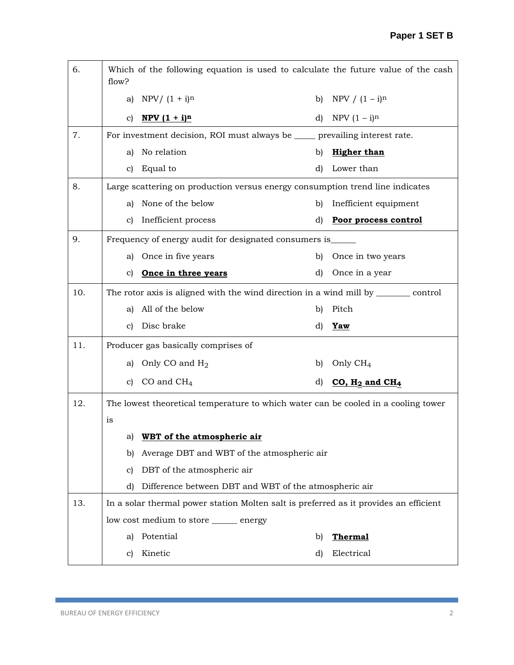| 6.  | Which of the following equation is used to calculate the future value of the cash<br>flow? |                                                                                        |              |                              |  |  |
|-----|--------------------------------------------------------------------------------------------|----------------------------------------------------------------------------------------|--------------|------------------------------|--|--|
|     | a)                                                                                         | $NPV / (1 + i)^n$                                                                      | b)           | NPV / $(1 - i)^n$            |  |  |
|     | c)                                                                                         | $NPV(1 + i)^n$                                                                         | d)           | NPV $(1 - i)^n$              |  |  |
| 7.  |                                                                                            | For investment decision, ROI must always be ____ prevailing interest rate.             |              |                              |  |  |
|     | a)                                                                                         | No relation                                                                            | b)           | <b>Higher than</b>           |  |  |
|     | C)                                                                                         | Equal to                                                                               | d)           | Lower than                   |  |  |
| 8.  |                                                                                            | Large scattering on production versus energy consumption trend line indicates          |              |                              |  |  |
|     | a)                                                                                         | None of the below                                                                      | $\mathbf{b}$ | Inefficient equipment        |  |  |
|     | c)                                                                                         | Inefficient process                                                                    | d)           | Poor process control         |  |  |
| 9.  | Frequency of energy audit for designated consumers is_____                                 |                                                                                        |              |                              |  |  |
|     | a)                                                                                         | Once in five years                                                                     | $\mathbf{b}$ | Once in two years            |  |  |
|     | C)                                                                                         | Once in three years                                                                    | d)           | Once in a year               |  |  |
| 10. |                                                                                            | The rotor axis is aligned with the wind direction in a wind mill by __________ control |              |                              |  |  |
|     | a)                                                                                         | All of the below                                                                       | $\mathbf{b}$ | Pitch                        |  |  |
|     | c)                                                                                         | Disc brake                                                                             | d)           | <b>Yaw</b>                   |  |  |
| 11. |                                                                                            | Producer gas basically comprises of                                                    |              |                              |  |  |
|     | a)                                                                                         | Only CO and $H_2$                                                                      | b)           | Only $CH_4$                  |  |  |
|     | c)                                                                                         | CO and $CH4$                                                                           | d)           | $CO, H2$ and CH <sub>4</sub> |  |  |
| 12. |                                                                                            | The lowest theoretical temperature to which water can be cooled in a cooling tower     |              |                              |  |  |
|     | is                                                                                         |                                                                                        |              |                              |  |  |
|     |                                                                                            | a) WBT of the atmospheric air                                                          |              |                              |  |  |
|     | b)                                                                                         | Average DBT and WBT of the atmospheric air                                             |              |                              |  |  |
|     | c)                                                                                         | DBT of the atmospheric air                                                             |              |                              |  |  |
|     | d)                                                                                         | Difference between DBT and WBT of the atmospheric air                                  |              |                              |  |  |
| 13. |                                                                                            | In a solar thermal power station Molten salt is preferred as it provides an efficient  |              |                              |  |  |
|     |                                                                                            | low cost medium to store _______ energy                                                |              |                              |  |  |
|     | a)                                                                                         | Potential                                                                              | b)           | <b>Thermal</b>               |  |  |
|     | c)                                                                                         | Kinetic                                                                                | d)           | Electrical                   |  |  |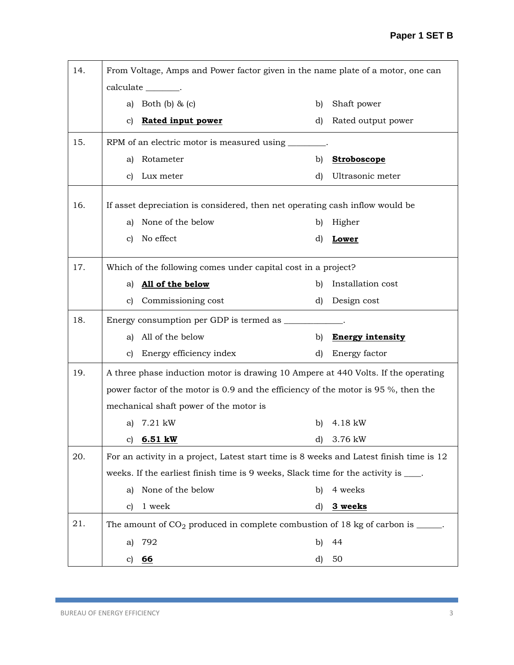| 14. |    | From Voltage, Amps and Power factor given in the name plate of a motor, one can         |    |                         |
|-----|----|-----------------------------------------------------------------------------------------|----|-------------------------|
|     |    | calculate ________.                                                                     |    |                         |
|     | a) | Both $(b)$ & $(c)$                                                                      | b) | Shaft power             |
|     | C) | <b>Rated input power</b>                                                                | d) | Rated output power      |
| 15. |    | RPM of an electric motor is measured using _______                                      |    |                         |
|     | a) | Rotameter                                                                               | b) | <b>Stroboscope</b>      |
|     | C) | Lux meter                                                                               | d) | Ultrasonic meter        |
| 16. |    | If asset depreciation is considered, then net operating cash inflow would be            |    |                         |
|     | a) | None of the below                                                                       | b) | Higher                  |
|     | c) | No effect                                                                               | d) | Lower                   |
|     |    |                                                                                         |    |                         |
| 17. |    | Which of the following comes under capital cost in a project?                           |    |                         |
|     | a) | All of the below                                                                        | b) | Installation cost       |
|     | C) | Commissioning cost                                                                      | d) | Design cost             |
| 18. |    | Energy consumption per GDP is termed as ___________.                                    |    |                         |
|     | al | All of the below                                                                        | b) | <b>Energy intensity</b> |
|     | C) | Energy efficiency index                                                                 | d) | Energy factor           |
| 19. |    | A three phase induction motor is drawing 10 Ampere at 440 Volts. If the operating       |    |                         |
|     |    | power factor of the motor is 0.9 and the efficiency of the motor is 95 %, then the      |    |                         |
|     |    | mechanical shaft power of the motor is                                                  |    |                         |
|     |    | a) 7.21 kW                                                                              | b) | 4.18 kW                 |
|     | c) | 6.51 kW                                                                                 | d) | 3.76 kW                 |
| 20. |    | For an activity in a project, Latest start time is 8 weeks and Latest finish time is 12 |    |                         |
|     |    | weeks. If the earliest finish time is 9 weeks, Slack time for the activity is ____.     |    |                         |
|     | a) | None of the below                                                                       | b) | 4 weeks                 |
|     | C) | 1 week                                                                                  | d) | 3 weeks                 |
| 21. |    | The amount of $CO_2$ produced in complete combustion of 18 kg of carbon is _____.       |    |                         |
|     | a) | 792                                                                                     | b) | 44                      |
|     |    | c) 66                                                                                   | d) | 50                      |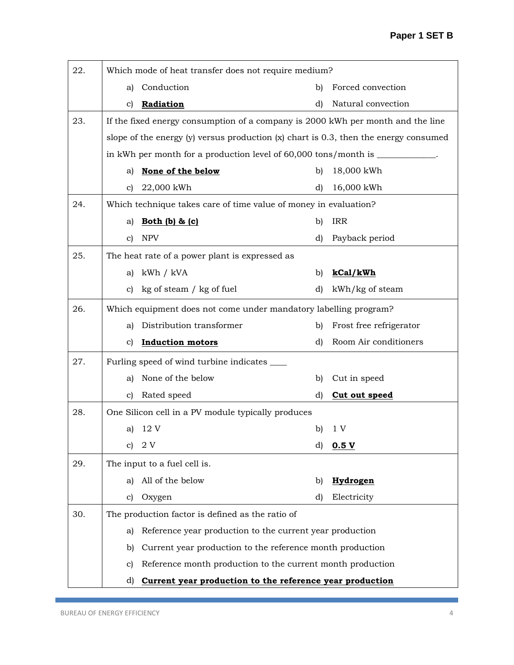| 22. |              | Which mode of heat transfer does not require medium?                                     |              |                         |
|-----|--------------|------------------------------------------------------------------------------------------|--------------|-------------------------|
|     | a)           | Conduction                                                                               | b)           | Forced convection       |
|     | c)           | Radiation                                                                                | d)           | Natural convection      |
| 23. |              | If the fixed energy consumption of a company is 2000 kWh per month and the line          |              |                         |
|     |              | slope of the energy $(y)$ versus production $(x)$ chart is 0.3, then the energy consumed |              |                         |
|     |              |                                                                                          |              |                         |
|     | a)           | None of the below                                                                        | b)           | 18,000 kWh              |
|     | $\mathbf{c}$ | 22,000 kWh                                                                               | $\mathbf{d}$ | 16,000 kWh              |
| 24. |              | Which technique takes care of time value of money in evaluation?                         |              |                         |
|     | a)           | Both (b) & (c)                                                                           | b)           | <b>IRR</b>              |
|     | $\mathbf{c}$ | <b>NPV</b>                                                                               | $\mathbf{d}$ | Payback period          |
| 25. |              | The heat rate of a power plant is expressed as                                           |              |                         |
|     | a)           | kWh / kVA                                                                                | b)           | kCal/kWh                |
|     | $\mathbf{c}$ | kg of steam / kg of fuel                                                                 | d)           | kWh/kg of steam         |
| 26. |              | Which equipment does not come under mandatory labelling program?                         |              |                         |
|     | a)           | Distribution transformer                                                                 | b)           | Frost free refrigerator |
|     | C)           | <b>Induction motors</b>                                                                  | d)           | Room Air conditioners   |
| 27. |              | Furling speed of wind turbine indicates _____                                            |              |                         |
|     | a)           | None of the below                                                                        | b)           | Cut in speed            |
|     | c)           | Rated speed                                                                              | d)           | Cut out speed           |
| 28. |              | One Silicon cell in a PV module typically produces                                       |              |                         |
|     | a)           | 12 V                                                                                     | b)           | 1 V                     |
|     | C)           | 2V                                                                                       | d)           | 0.5V                    |
| 29. |              | The input to a fuel cell is.                                                             |              |                         |
|     | a)           | All of the below                                                                         | b)           | Hydrogen                |
|     | $\mathbf{c}$ | Oxygen                                                                                   | d)           | Electricity             |
| 30. |              | The production factor is defined as the ratio of                                         |              |                         |
|     | a)           | Reference year production to the current year production                                 |              |                         |
|     | b)           | Current year production to the reference month production                                |              |                         |
|     | $\mathbf{c}$ | Reference month production to the current month production                               |              |                         |
|     | d)           | Current year production to the reference year production                                 |              |                         |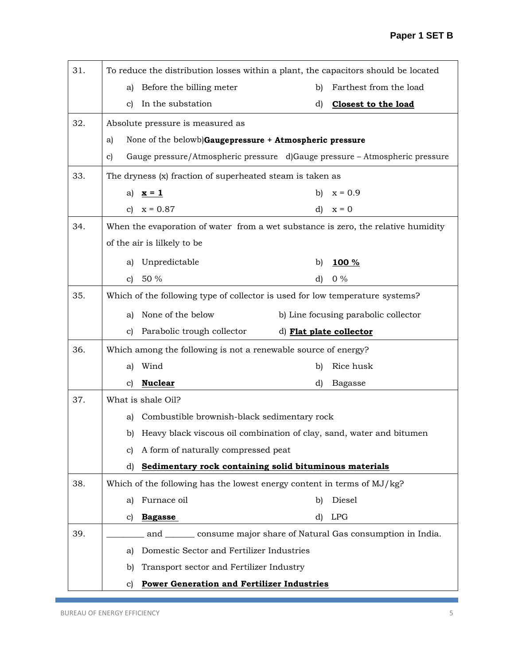| 31. | To reduce the distribution losses within a plant, the capacitors should be located |  |  |  |  |  |  |  |
|-----|------------------------------------------------------------------------------------|--|--|--|--|--|--|--|
|     | Before the billing meter<br>Farthest from the load<br>b)<br>a)                     |  |  |  |  |  |  |  |
|     | In the substation<br>d)<br>c)<br><b>Closest to the load</b>                        |  |  |  |  |  |  |  |
| 32. | Absolute pressure is measured as                                                   |  |  |  |  |  |  |  |
|     | None of the belowb)Gaugepressure + Atmospheric pressure<br>a)                      |  |  |  |  |  |  |  |
|     | Gauge pressure/Atmospheric pressure d)Gauge pressure - Atmospheric pressure<br>c)  |  |  |  |  |  |  |  |
| 33. | The dryness (x) fraction of superheated steam is taken as                          |  |  |  |  |  |  |  |
|     | $x = 0.9$<br>b)<br>a) $x = 1$                                                      |  |  |  |  |  |  |  |
|     | c) $x = 0.87$<br>$\mathbf{d}$<br>$x = 0$                                           |  |  |  |  |  |  |  |
| 34. | When the evaporation of water from a wet substance is zero, the relative humidity  |  |  |  |  |  |  |  |
|     | of the air is lilkely to be                                                        |  |  |  |  |  |  |  |
|     | Unpredictable<br>a)<br>b)<br>100 %                                                 |  |  |  |  |  |  |  |
|     | $0\%$<br>50 %<br>d)<br>c)                                                          |  |  |  |  |  |  |  |
| 35. | Which of the following type of collector is used for low temperature systems?      |  |  |  |  |  |  |  |
|     | None of the below<br>b) Line focusing parabolic collector<br>a)                    |  |  |  |  |  |  |  |
|     | Parabolic trough collector<br>d) Flat plate collector<br>c)                        |  |  |  |  |  |  |  |
| 36. | Which among the following is not a renewable source of energy?                     |  |  |  |  |  |  |  |
|     | Wind<br>Rice husk<br>b)<br>a)                                                      |  |  |  |  |  |  |  |
|     | <b>Nuclear</b><br>d)<br>c)<br><b>Bagasse</b>                                       |  |  |  |  |  |  |  |
| 37. | What is shale Oil?                                                                 |  |  |  |  |  |  |  |
|     | Combustible brownish-black sedimentary rock<br>a)                                  |  |  |  |  |  |  |  |
|     | Heavy black viscous oil combination of clay, sand, water and bitumen<br>b)         |  |  |  |  |  |  |  |
|     | A form of naturally compressed peat<br>C)                                          |  |  |  |  |  |  |  |
|     | Sedimentary rock containing solid bituminous materials<br>d)                       |  |  |  |  |  |  |  |
| 38. | Which of the following has the lowest energy content in terms of MJ/kg?            |  |  |  |  |  |  |  |
|     | Furnace oil<br>Diesel<br>b)<br>a)                                                  |  |  |  |  |  |  |  |
|     | <b>LPG</b><br>d)<br><b>Bagasse</b><br>C)                                           |  |  |  |  |  |  |  |
| 39. | and consume major share of Natural Gas consumption in India.                       |  |  |  |  |  |  |  |
|     | Domestic Sector and Fertilizer Industries<br>a)                                    |  |  |  |  |  |  |  |
|     | Transport sector and Fertilizer Industry<br>b)                                     |  |  |  |  |  |  |  |
|     | <b>Power Generation and Fertilizer Industries</b><br>C)                            |  |  |  |  |  |  |  |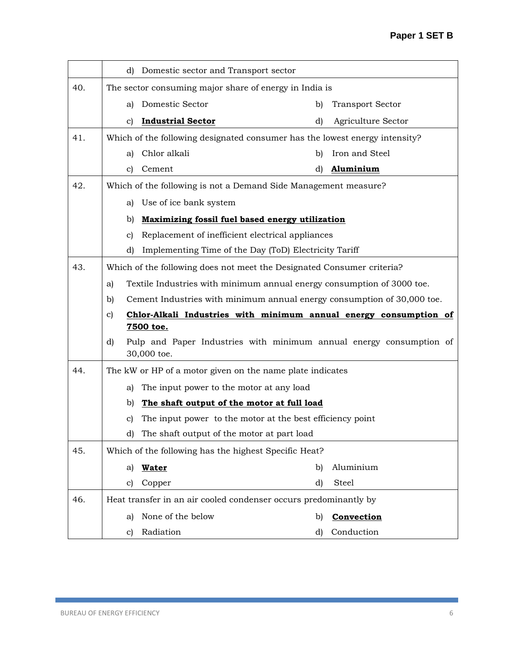|     | d) Domestic sector and Transport sector                                      |                                                                         |  |  |  |  |  |
|-----|------------------------------------------------------------------------------|-------------------------------------------------------------------------|--|--|--|--|--|
| 40. | The sector consuming major share of energy in India is                       |                                                                         |  |  |  |  |  |
|     | Domestic Sector<br>a)                                                        | <b>Transport Sector</b><br>b)                                           |  |  |  |  |  |
|     | <b>Industrial Sector</b><br>C)                                               | d)<br>Agriculture Sector                                                |  |  |  |  |  |
| 41. | Which of the following designated consumer has the lowest energy intensity?  |                                                                         |  |  |  |  |  |
|     | Chlor alkali<br>a)                                                           | Iron and Steel<br>b)                                                    |  |  |  |  |  |
|     | Cement<br>C)                                                                 | d)<br>Aluminium                                                         |  |  |  |  |  |
| 42. | Which of the following is not a Demand Side Management measure?              |                                                                         |  |  |  |  |  |
|     | Use of ice bank system<br>a)                                                 |                                                                         |  |  |  |  |  |
|     | Maximizing fossil fuel based energy utilization<br>b)                        |                                                                         |  |  |  |  |  |
|     | Replacement of inefficient electrical appliances<br>C)                       |                                                                         |  |  |  |  |  |
|     | Implementing Time of the Day (ToD) Electricity Tariff<br>d)                  |                                                                         |  |  |  |  |  |
| 43. | Which of the following does not meet the Designated Consumer criteria?       |                                                                         |  |  |  |  |  |
|     | Textile Industries with minimum annual energy consumption of 3000 toe.<br>a) |                                                                         |  |  |  |  |  |
|     | b)                                                                           | Cement Industries with minimum annual energy consumption of 30,000 toe. |  |  |  |  |  |
|     | $\mathbf{c}$                                                                 | Chlor-Alkali Industries with minimum annual energy consumption of       |  |  |  |  |  |
|     | 7500 toe.                                                                    |                                                                         |  |  |  |  |  |
|     | d)<br>30,000 toe.                                                            | Pulp and Paper Industries with minimum annual energy consumption of     |  |  |  |  |  |
| 44. | The kW or HP of a motor given on the name plate indicates                    |                                                                         |  |  |  |  |  |
|     | The input power to the motor at any load<br>a)                               |                                                                         |  |  |  |  |  |
|     | b)<br>The shaft output of the motor at full load                             |                                                                         |  |  |  |  |  |
|     | The input power to the motor at the best efficiency point<br>C)              |                                                                         |  |  |  |  |  |
|     | The shaft output of the motor at part load<br>d)                             |                                                                         |  |  |  |  |  |
| 45. | Which of the following has the highest Specific Heat?                        |                                                                         |  |  |  |  |  |
|     | <b>Water</b><br>a)                                                           | Aluminium<br>b)                                                         |  |  |  |  |  |
|     | c)<br>Copper                                                                 | d)<br>Steel                                                             |  |  |  |  |  |
| 46. | Heat transfer in an air cooled condenser occurs predominantly by             |                                                                         |  |  |  |  |  |
|     | None of the below<br>a)                                                      | Convection<br>b)                                                        |  |  |  |  |  |
|     | Radiation<br>C)                                                              | Conduction<br>d)                                                        |  |  |  |  |  |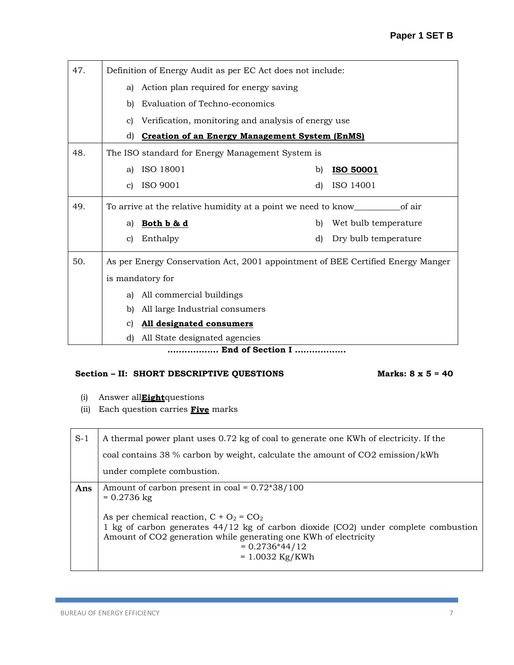| 47. |    | Definition of Energy Audit as per EC Act does not include:                      |    |                      |  |  |  |  |
|-----|----|---------------------------------------------------------------------------------|----|----------------------|--|--|--|--|
|     | a) | Action plan required for energy saving                                          |    |                      |  |  |  |  |
|     | b) | Evaluation of Techno-economics                                                  |    |                      |  |  |  |  |
|     | C) | Verification, monitoring and analysis of energy use                             |    |                      |  |  |  |  |
|     | d) | <b>Creation of an Energy Management System (EnMS)</b>                           |    |                      |  |  |  |  |
| 48. |    | The ISO standard for Energy Management System is                                |    |                      |  |  |  |  |
|     | a) | ISO 18001                                                                       | b) | <b>ISO 50001</b>     |  |  |  |  |
|     | c) | ISO 9001                                                                        | d) | ISO 14001            |  |  |  |  |
| 49. |    |                                                                                 |    |                      |  |  |  |  |
|     | a) | Both b & d                                                                      | b) | Wet bulb temperature |  |  |  |  |
|     | c) | Enthalpy                                                                        | d) | Dry bulb temperature |  |  |  |  |
| 50. |    | As per Energy Conservation Act, 2001 appointment of BEE Certified Energy Manger |    |                      |  |  |  |  |
|     |    | is mandatory for                                                                |    |                      |  |  |  |  |
|     | a) | All commercial buildings                                                        |    |                      |  |  |  |  |
|     | b) | All large Industrial consumers                                                  |    |                      |  |  |  |  |
|     | C) | All designated consumers                                                        |    |                      |  |  |  |  |
|     | d) | All State designated agencies                                                   |    |                      |  |  |  |  |
|     |    | End of Section I                                                                |    |                      |  |  |  |  |

## Section – II: SHORT DESCRIPTIVE QUESTIONS Marks: 8 x 5 = 40

- (i) Answer all**Eight**questions
- (ii) Each question carries **Five** marks

| $S-1$ | A thermal power plant uses 0.72 kg of coal to generate one KWh of electricity. If the                                                                                                                                                            |
|-------|--------------------------------------------------------------------------------------------------------------------------------------------------------------------------------------------------------------------------------------------------|
|       | coal contains 38 % carbon by weight, calculate the amount of CO2 emission/kWh                                                                                                                                                                    |
|       | under complete combustion.                                                                                                                                                                                                                       |
| Ans   | Amount of carbon present in coal = $0.72*38/100$<br>$= 0.2736$ kg                                                                                                                                                                                |
|       | As per chemical reaction, $C + O_2 = CO_2$<br>1 kg of carbon generates $44/12$ kg of carbon dioxide (CO2) under complete combustion<br>Amount of CO2 generation while generating one KWh of electricity<br>$= 0.2736*44/12$<br>$= 1.0032$ Kg/KWh |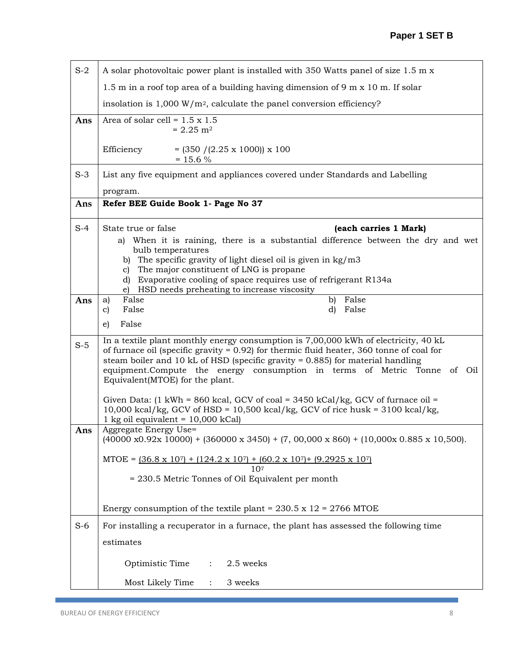| $S-2$ | A solar photovoltaic power plant is installed with 350 Watts panel of size 1.5 m x                                                                                                                                                                                                                                                                                                     |
|-------|----------------------------------------------------------------------------------------------------------------------------------------------------------------------------------------------------------------------------------------------------------------------------------------------------------------------------------------------------------------------------------------|
|       | 1.5 m in a roof top area of a building having dimension of 9 m $x$ 10 m. If solar                                                                                                                                                                                                                                                                                                      |
|       | insolation is $1,000 \text{ W/m}^2$ , calculate the panel conversion efficiency?                                                                                                                                                                                                                                                                                                       |
| Ans   | Area of solar cell = $1.5 \times 1.5$<br>$= 2.25$ m <sup>2</sup>                                                                                                                                                                                                                                                                                                                       |
|       | Efficiency<br>$= (350 / (2.25 \times 1000)) \times 100$<br>$= 15.6 %$                                                                                                                                                                                                                                                                                                                  |
| $S-3$ | List any five equipment and appliances covered under Standards and Labelling                                                                                                                                                                                                                                                                                                           |
| Ans   | program.<br>Refer BEE Guide Book 1- Page No 37                                                                                                                                                                                                                                                                                                                                         |
|       |                                                                                                                                                                                                                                                                                                                                                                                        |
| $S-4$ | State true or false<br>(each carries 1 Mark)                                                                                                                                                                                                                                                                                                                                           |
|       | a) When it is raining, there is a substantial difference between the dry and wet<br>bulb temperatures                                                                                                                                                                                                                                                                                  |
|       | b) The specific gravity of light diesel oil is given in $\text{kg}/\text{m}3$<br>The major constituent of LNG is propane                                                                                                                                                                                                                                                               |
|       | C)<br>Evaporative cooling of space requires use of refrigerant R134a<br>d)                                                                                                                                                                                                                                                                                                             |
| Ans   | HSD needs preheating to increase viscosity<br>e)<br>False<br>b) False<br>a)                                                                                                                                                                                                                                                                                                            |
|       | False<br>False<br>d)<br>C)                                                                                                                                                                                                                                                                                                                                                             |
|       | False<br>e)                                                                                                                                                                                                                                                                                                                                                                            |
| $S-5$ | In a textile plant monthly energy consumption is 7,00,000 kWh of electricity, 40 kL<br>of furnace oil (specific gravity = $0.92$ ) for thermic fluid heater, 360 tonne of coal for<br>steam boiler and 10 kL of HSD (specific gravity $= 0.885$ ) for material handling<br>equipment.Compute the energy consumption in terms of Metric Tonne of Oil<br>Equivalent(MTOE) for the plant. |
|       | Given Data: (1 kWh = 860 kcal, GCV of coal = 3450 kCal/kg, GCV of furnace oil =<br>10,000 kcal/kg, GCV of HSD = $10,500$ kcal/kg, GCV of rice husk = $3100$ kcal/kg,<br>1 kg oil equivalent = $10,000$ kCal)                                                                                                                                                                           |
| Ans   | Aggregate Energy Use=<br>$(40000 \times 0.92 \times 10000)$ + $(360000 \times 3450)$ + $(7, 00,000 \times 860)$ + $(10,000 \times 0.885 \times 10,500)$ .                                                                                                                                                                                                                              |
|       | $MTOE = (36.8 \times 10^7) + (124.2 \times 10^7) + (60.2 \times 10^7) + (9.2925 \times 10^7)$                                                                                                                                                                                                                                                                                          |
|       | 107<br>= 230.5 Metric Tonnes of Oil Equivalent per month                                                                                                                                                                                                                                                                                                                               |
|       |                                                                                                                                                                                                                                                                                                                                                                                        |
|       | Energy consumption of the textile plant = $230.5 \times 12 = 2766$ MTOE                                                                                                                                                                                                                                                                                                                |
| $S-6$ | For installing a recuperator in a furnace, the plant has assessed the following time                                                                                                                                                                                                                                                                                                   |
|       | estimates                                                                                                                                                                                                                                                                                                                                                                              |
|       | 2.5 weeks<br>Optimistic Time<br>$\ddot{\cdot}$                                                                                                                                                                                                                                                                                                                                         |
|       | Most Likely Time<br>3 weeks                                                                                                                                                                                                                                                                                                                                                            |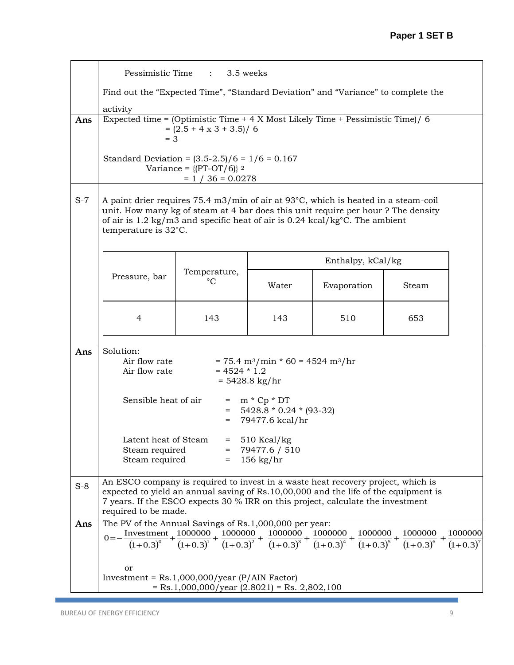|       | Pessimistic Time : 3.5 weeks                                                                                                                                                                                                                                                       |                                                                |                                                                                       |                   |       |  |  |  |
|-------|------------------------------------------------------------------------------------------------------------------------------------------------------------------------------------------------------------------------------------------------------------------------------------|----------------------------------------------------------------|---------------------------------------------------------------------------------------|-------------------|-------|--|--|--|
|       | Find out the "Expected Time", "Standard Deviation" and "Variance" to complete the                                                                                                                                                                                                  |                                                                |                                                                                       |                   |       |  |  |  |
|       | activity                                                                                                                                                                                                                                                                           |                                                                |                                                                                       |                   |       |  |  |  |
| Ans   | Expected time = $(Optimistic Time + 4 X Most likely Time + pessimistic Time) / 6$<br>$= (2.5 + 4 \times 3 + 3.5) / 6$<br>$= 3$                                                                                                                                                     |                                                                |                                                                                       |                   |       |  |  |  |
|       | Standard Deviation = $(3.5-2.5)/6 = 1/6 = 0.167$                                                                                                                                                                                                                                   | Variance = $\{[PT-OT/6]\}$ <sup>2</sup><br>$= 1 / 36 = 0.0278$ |                                                                                       |                   |       |  |  |  |
| $S-7$ | A paint drier requires 75.4 m3/min of air at 93°C, which is heated in a steam-coil<br>unit. How many kg of steam at 4 bar does this unit require per hour? The density<br>of air is 1.2 kg/m3 and specific heat of air is $0.24$ kcal/kg°C. The ambient<br>temperature is 32°C.    |                                                                |                                                                                       |                   |       |  |  |  |
|       |                                                                                                                                                                                                                                                                                    |                                                                |                                                                                       | Enthalpy, kCal/kg |       |  |  |  |
|       | Pressure, bar                                                                                                                                                                                                                                                                      | Temperature,<br>$^{\circ}C$                                    | Water                                                                                 | Evaporation       | Steam |  |  |  |
|       | 4<br>143<br>143<br>510<br>653                                                                                                                                                                                                                                                      |                                                                |                                                                                       |                   |       |  |  |  |
|       |                                                                                                                                                                                                                                                                                    |                                                                |                                                                                       |                   |       |  |  |  |
| Ans   | Solution:<br>Air flow rate<br>Air flow rate                                                                                                                                                                                                                                        | $= 4524 * 1.2$                                                 | $= 75.4 \text{ m}^3/\text{min} * 60 = 4524 \text{ m}^3/\text{hr}$<br>$= 5428.8$ kg/hr |                   |       |  |  |  |
|       | Sensible heat of air                                                                                                                                                                                                                                                               | $=$                                                            | $=$ m $*$ Cp $*$ DT<br>$= 5428.8 * 0.24 * (93-32)$<br>79477.6 kcal/hr                 |                   |       |  |  |  |
|       | Latent heat of Steam $= 510$ Kcal/kg<br>$= 79477.6 / 510$<br>Steam required<br>Steam required<br>$= 156 \text{ kg/hr}$                                                                                                                                                             |                                                                |                                                                                       |                   |       |  |  |  |
| $S-8$ | An ESCO company is required to invest in a waste heat recovery project, which is<br>expected to yield an annual saving of Rs.10,00,000 and the life of the equipment is<br>7 years. If the ESCO expects 30 % IRR on this project, calculate the investment<br>required to be made. |                                                                |                                                                                       |                   |       |  |  |  |
| Ans   | The PV of the Annual Savings of Rs.1,000,000 per year:                                                                                                                                                                                                                             |                                                                |                                                                                       |                   |       |  |  |  |
|       | $0 = -\frac{\text{Investment}}{(1+0.3)^0} + \frac{1000000}{(1+0.3)^1} + \frac{1000000}{(1+0.3)^2} + \frac{1000000}{(1+0.3)^3} + \frac{1000000}{(1+0.3)^4} + \frac{1000000}{(1+0.3)^5} + \frac{1000000}{(1+0.3)^6} + \frac{1000000}{(1+0.3)^7}$                                     |                                                                |                                                                                       |                   |       |  |  |  |
|       |                                                                                                                                                                                                                                                                                    |                                                                |                                                                                       |                   |       |  |  |  |
|       | or                                                                                                                                                                                                                                                                                 |                                                                |                                                                                       |                   |       |  |  |  |
|       | Investment = $Rs.1,000,000/year$ (P/AIN Factor)                                                                                                                                                                                                                                    |                                                                |                                                                                       |                   |       |  |  |  |
|       |                                                                                                                                                                                                                                                                                    | $=$ Rs.1,000,000/year (2.8021) = Rs. 2,802,100                 |                                                                                       |                   |       |  |  |  |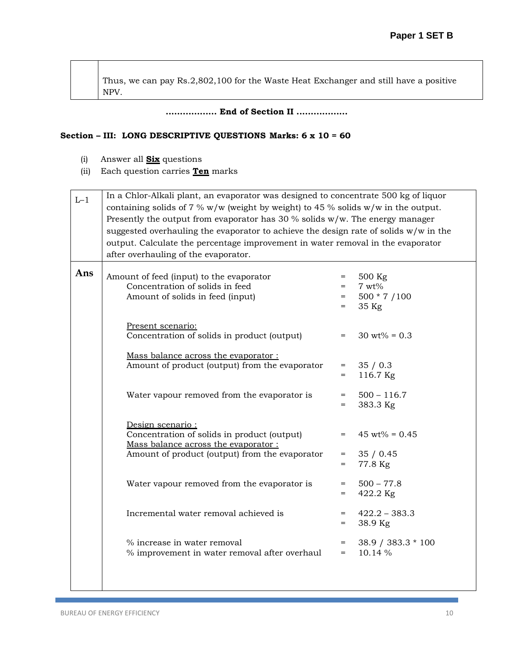Thus, we can pay Rs.2,802,100 for the Waste Heat Exchanger and still have a positive NPV.

**.................. End of Section II ..................**

## **Section – III: LONG DESCRIPTIVE QUESTIONS Marks: 6 x 10 = 60**

- (i) Answer all **Six** questions
- (ii) Each question carries **Ten** marks

| $L-1$ | In a Chlor-Alkali plant, an evaporator was designed to concentrate 500 kg of liquor    |              |                               |  |  |  |  |
|-------|----------------------------------------------------------------------------------------|--------------|-------------------------------|--|--|--|--|
|       | containing solids of 7 % $w/w$ (weight by weight) to 45 % solids $w/w$ in the output.  |              |                               |  |  |  |  |
|       | Presently the output from evaporator has 30 % solids $w/w$ . The energy manager        |              |                               |  |  |  |  |
|       | suggested overhauling the evaporator to achieve the design rate of solids $w/w$ in the |              |                               |  |  |  |  |
|       | output. Calculate the percentage improvement in water removal in the evaporator        |              |                               |  |  |  |  |
|       | after overhauling of the evaporator.                                                   |              |                               |  |  |  |  |
|       |                                                                                        |              |                               |  |  |  |  |
| Ans   | Amount of feed (input) to the evaporator                                               | $=$          | 500 Kg                        |  |  |  |  |
|       | Concentration of solids in feed                                                        | $=$          | $7 wt\%$                      |  |  |  |  |
|       | Amount of solids in feed (input)                                                       | $=$          | $500 * 7 / 100$               |  |  |  |  |
|       |                                                                                        | $=$          | 35 Kg                         |  |  |  |  |
|       |                                                                                        |              |                               |  |  |  |  |
|       | Present scenario:<br>Concentration of solids in product (output)                       | $=$          | $30 \text{ wt\%} = 0.3$       |  |  |  |  |
|       |                                                                                        |              |                               |  |  |  |  |
|       | Mass balance across the evaporator:                                                    |              |                               |  |  |  |  |
|       | Amount of product (output) from the evaporator                                         | $=$ $\qquad$ | 35/0.3                        |  |  |  |  |
|       |                                                                                        | $=$          | 116.7 Kg                      |  |  |  |  |
|       |                                                                                        |              |                               |  |  |  |  |
|       | Water vapour removed from the evaporator is                                            | $=$<br>$=$   | $500 - 116.7$<br>383.3 Kg     |  |  |  |  |
|       |                                                                                        |              |                               |  |  |  |  |
|       | Design scenario:                                                                       |              |                               |  |  |  |  |
|       | Concentration of solids in product (output)                                            | $=$          | $45 \text{ wt\%} = 0.45$      |  |  |  |  |
|       | Mass balance across the evaporator:                                                    |              |                               |  |  |  |  |
|       | Amount of product (output) from the evaporator                                         | $=$          | 35/0.45                       |  |  |  |  |
|       |                                                                                        | $=$          | 77.8 Kg                       |  |  |  |  |
|       | Water vapour removed from the evaporator is                                            | $=$          | $500 - 77.8$                  |  |  |  |  |
|       |                                                                                        | $=$          | 422.2 Kg                      |  |  |  |  |
|       |                                                                                        |              |                               |  |  |  |  |
|       | Incremental water removal achieved is                                                  | $=$ $-$      | $422.2 - 383.3$               |  |  |  |  |
|       |                                                                                        | $=$          | 38.9 Kg                       |  |  |  |  |
|       | % increase in water removal                                                            | $=$          |                               |  |  |  |  |
|       | % improvement in water removal after overhaul                                          | $=$          | 38.9 / 383.3 * 100<br>10.14 % |  |  |  |  |
|       |                                                                                        |              |                               |  |  |  |  |
|       |                                                                                        |              |                               |  |  |  |  |
|       |                                                                                        |              |                               |  |  |  |  |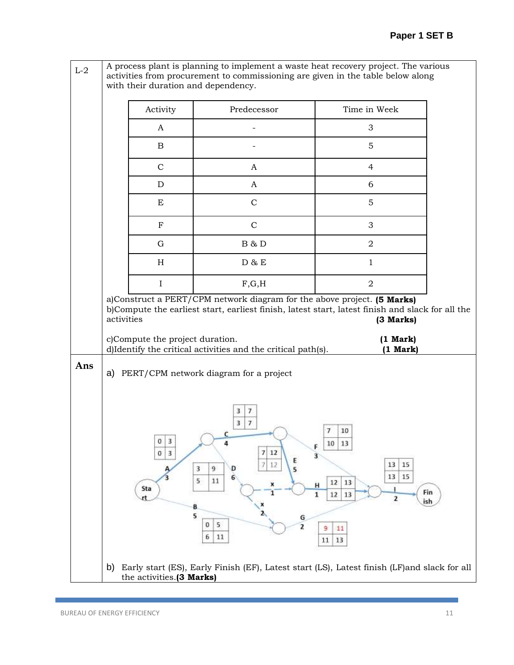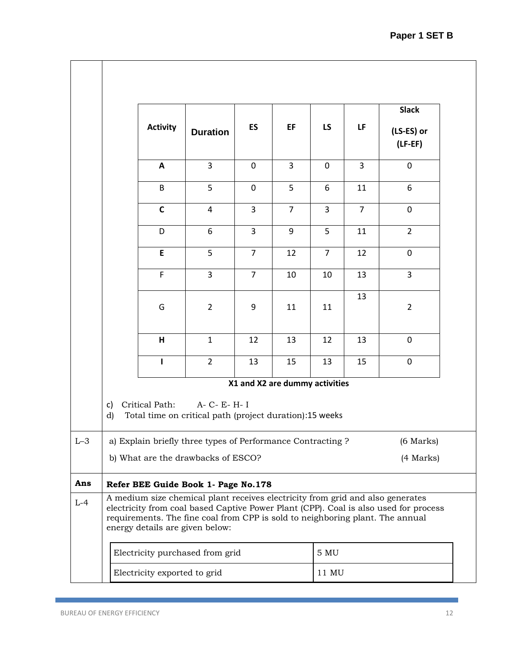|       |          |                              |                                                                                                                                                                                                    |                |                                |                |                | <b>Slack</b>                                                                         |
|-------|----------|------------------------------|----------------------------------------------------------------------------------------------------------------------------------------------------------------------------------------------------|----------------|--------------------------------|----------------|----------------|--------------------------------------------------------------------------------------|
|       |          | <b>Activity</b>              | <b>Duration</b>                                                                                                                                                                                    | ES             | EF                             | LS             | LF             | (LS-ES) or<br>$(LF-EF)$                                                              |
|       |          | A                            | $\overline{3}$                                                                                                                                                                                     | $\mathbf 0$    | $\overline{3}$                 | $\mathbf 0$    | $\overline{3}$ | $\mathbf 0$                                                                          |
|       |          | B                            | 5                                                                                                                                                                                                  | $\mathbf 0$    | 5                              | 6              | 11             | 6                                                                                    |
|       |          | $\mathsf C$                  | $\overline{4}$                                                                                                                                                                                     | 3              | $\overline{7}$                 | 3              | $\overline{7}$ | $\mathbf 0$                                                                          |
|       |          | D                            | 6                                                                                                                                                                                                  | $\overline{3}$ | 9                              | 5              | 11             | $\overline{2}$                                                                       |
|       |          | E                            | 5                                                                                                                                                                                                  | $\overline{7}$ | 12                             | $\overline{7}$ | 12             | $\mathbf 0$                                                                          |
|       |          | F                            | $\overline{3}$                                                                                                                                                                                     | $\overline{7}$ | 10                             | 10             | 13             | $\overline{3}$                                                                       |
|       |          | G                            | $\overline{2}$                                                                                                                                                                                     | 9              | 11                             | 11             | 13             | $\overline{2}$                                                                       |
|       |          | H                            | $\mathbf{1}$                                                                                                                                                                                       | 12             | 13                             | 12             | 13             | $\mathbf 0$                                                                          |
|       |          | L                            | $\overline{2}$                                                                                                                                                                                     | 13             | 15                             | 13             | 15             | $\pmb{0}$                                                                            |
|       |          |                              |                                                                                                                                                                                                    |                | X1 and X2 are dummy activities |                |                |                                                                                      |
|       | c)<br>d) | Critical Path:               | A- C- E- H- I<br>Total time on critical path (project duration):15 weeks                                                                                                                           |                |                                |                |                |                                                                                      |
| $L-3$ |          |                              | a) Explain briefly three types of Performance Contracting ?                                                                                                                                        |                |                                |                |                | $(6$ Marks $)$                                                                       |
|       |          |                              | b) What are the drawbacks of ESCO?                                                                                                                                                                 |                |                                |                |                | (4 Marks)                                                                            |
| Ans   |          |                              | Refer BEE Guide Book 1- Page No.178                                                                                                                                                                |                |                                |                |                |                                                                                      |
| $L-4$ |          |                              | A medium size chemical plant receives electricity from grid and also generates<br>requirements. The fine coal from CPP is sold to neighboring plant. The annual<br>energy details are given below: |                |                                |                |                | electricity from coal based Captive Power Plant (CPP). Coal is also used for process |
|       |          |                              | Electricity purchased from grid                                                                                                                                                                    |                |                                | 5 MU           |                |                                                                                      |
|       |          | Electricity exported to grid |                                                                                                                                                                                                    |                |                                | 11 MU          |                |                                                                                      |

Ξ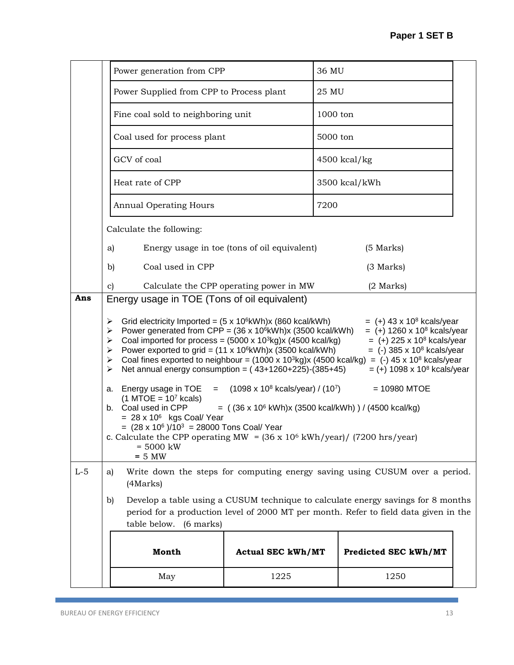|       | Power generation from CPP                                                                                                                                                                                                                                                                                                                                                                                                                                                                                                                                                                                                                                                                                                                                                                             |                          | 36 MU                |  |  |  |  |  |  |  |
|-------|-------------------------------------------------------------------------------------------------------------------------------------------------------------------------------------------------------------------------------------------------------------------------------------------------------------------------------------------------------------------------------------------------------------------------------------------------------------------------------------------------------------------------------------------------------------------------------------------------------------------------------------------------------------------------------------------------------------------------------------------------------------------------------------------------------|--------------------------|----------------------|--|--|--|--|--|--|--|
|       | Power Supplied from CPP to Process plant                                                                                                                                                                                                                                                                                                                                                                                                                                                                                                                                                                                                                                                                                                                                                              |                          | 25 MU                |  |  |  |  |  |  |  |
|       | Fine coal sold to neighboring unit                                                                                                                                                                                                                                                                                                                                                                                                                                                                                                                                                                                                                                                                                                                                                                    |                          | $1000$ ton           |  |  |  |  |  |  |  |
|       | Coal used for process plant                                                                                                                                                                                                                                                                                                                                                                                                                                                                                                                                                                                                                                                                                                                                                                           |                          | 5000 ton             |  |  |  |  |  |  |  |
|       | GCV of coal                                                                                                                                                                                                                                                                                                                                                                                                                                                                                                                                                                                                                                                                                                                                                                                           |                          | $4500$ kcal/kg       |  |  |  |  |  |  |  |
|       | Heat rate of CPP                                                                                                                                                                                                                                                                                                                                                                                                                                                                                                                                                                                                                                                                                                                                                                                      |                          | 3500 kcal/kWh        |  |  |  |  |  |  |  |
|       | <b>Annual Operating Hours</b>                                                                                                                                                                                                                                                                                                                                                                                                                                                                                                                                                                                                                                                                                                                                                                         |                          | 7200                 |  |  |  |  |  |  |  |
|       | Calculate the following:                                                                                                                                                                                                                                                                                                                                                                                                                                                                                                                                                                                                                                                                                                                                                                              |                          |                      |  |  |  |  |  |  |  |
|       | Energy usage in toe (tons of oil equivalent)<br>(5 Marks)<br>a)                                                                                                                                                                                                                                                                                                                                                                                                                                                                                                                                                                                                                                                                                                                                       |                          |                      |  |  |  |  |  |  |  |
|       | Coal used in CPP<br>b)                                                                                                                                                                                                                                                                                                                                                                                                                                                                                                                                                                                                                                                                                                                                                                                |                          | (3 Marks)            |  |  |  |  |  |  |  |
|       | Calculate the CPP operating power in MW<br>$(2$ Marks)<br>$\mathbf{c}$                                                                                                                                                                                                                                                                                                                                                                                                                                                                                                                                                                                                                                                                                                                                |                          |                      |  |  |  |  |  |  |  |
| Ans   | Energy usage in TOE (Tons of oil equivalent)                                                                                                                                                                                                                                                                                                                                                                                                                                                                                                                                                                                                                                                                                                                                                          |                          |                      |  |  |  |  |  |  |  |
|       | Grid electricity Imported = $(5 \times 10^6 \text{kWh}) \times (860 \text{ kcal/kWh})$<br>$= (+) 43 \times 10^8$ kcals/year<br>➤<br>Power generated from CPP = $(36 \times 10^6 \text{kWh}) \times (3500 \text{ kcal/kWh})$<br>$= (+) 1260 \times 10^8$ kcals/year<br>➤<br>Coal imported for process = $(5000 \times 10^3 \text{kg}) \times (4500 \text{ kcal/kg})$<br>$= (+) 225 \times 10^8$ kcals/year<br>⋗<br>Power exported to grid = (11 x 10 <sup>6</sup> kWh)x (3500 kcal/kWh)<br>$=$ (-) 385 x 10 <sup>8</sup> kcals/year<br>➤<br>Coal fines exported to neighbour = $(1000 \times 10^{3} \text{kg}) \times (4500 \text{ kcal/kg}) = (-) 45 \times 10^{8} \text{ kcals/year}$<br>➤<br>Net annual energy consumption = $(43+1260+225)-(385+45)$<br>$= (+) 1098 \times 10^{8}$ kcals/year<br>➤ |                          |                      |  |  |  |  |  |  |  |
|       | $=$ (1098 x 10 <sup>8</sup> kcals/year) / (10 <sup>7</sup> )<br>Energy usage in TOE<br>$= 10980$ MTOE<br>а.<br>$(1$ MTOE = $107$ kcals)<br>b. Coal used in CPP<br>$=$ ((36 x 10 <sup>6</sup> kWh)x (3500 kcal/kWh)) / (4500 kcal/kg)<br>$= 28 \times 10^6$ kgs Coal/Year<br>$=$ (28 x 10 <sup>6</sup> )/10 <sup>3</sup> = 28000 Tons Coal/ Year<br>c. Calculate the CPP operating MW = $(36 \times 10^6 \text{ kWh/year}) / (7200 \text{ hrs/year})$<br>$= 5000$ kW<br>$= 5 MW$                                                                                                                                                                                                                                                                                                                       |                          |                      |  |  |  |  |  |  |  |
| $L-5$ | Write down the steps for computing energy saving using CUSUM over a period.<br>a)<br>(4Marks)                                                                                                                                                                                                                                                                                                                                                                                                                                                                                                                                                                                                                                                                                                         |                          |                      |  |  |  |  |  |  |  |
|       | Develop a table using a CUSUM technique to calculate energy savings for 8 months<br>b)<br>period for a production level of 2000 MT per month. Refer to field data given in the<br>table below. (6 marks)                                                                                                                                                                                                                                                                                                                                                                                                                                                                                                                                                                                              |                          |                      |  |  |  |  |  |  |  |
|       | Month                                                                                                                                                                                                                                                                                                                                                                                                                                                                                                                                                                                                                                                                                                                                                                                                 | <b>Actual SEC kWh/MT</b> | Predicted SEC kWh/MT |  |  |  |  |  |  |  |
|       | May                                                                                                                                                                                                                                                                                                                                                                                                                                                                                                                                                                                                                                                                                                                                                                                                   | 1225                     | 1250                 |  |  |  |  |  |  |  |